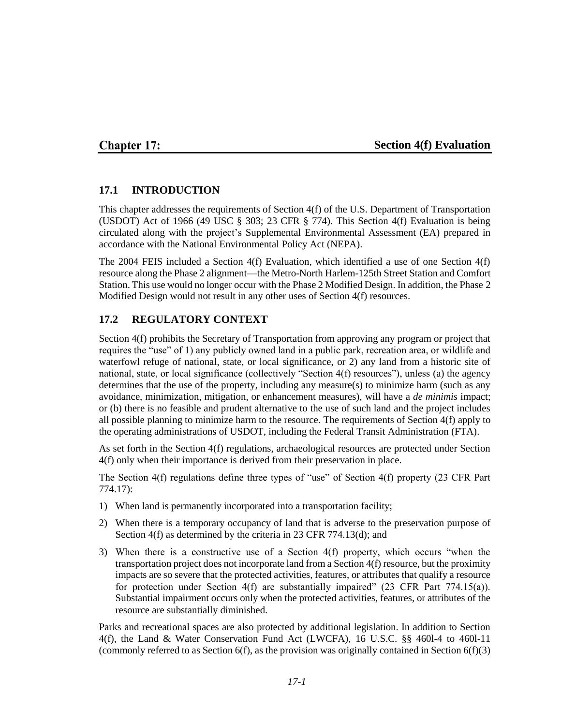## **Chapter 17:**

### **Section 4(f) Evaluation**

### **17.1 INTRODUCTION**

This chapter addresses the requirements of Section 4(f) of the U.S. Department of Transportation (USDOT) Act of 1966 (49 USC  $\S$  303; 23 CFR  $\S$  774). This Section 4(f) Evaluation is being circulated along with the project's Supplemental Environmental Assessment (EA) prepared in accordance with the National Environmental Policy Act (NEPA).

The 2004 FEIS included a Section 4(f) Evaluation, which identified a use of one Section 4(f) resource along the Phase 2 alignment—the Metro-North Harlem-125th Street Station and Comfort Station. This use would no longer occur with the Phase 2 Modified Design. In addition, the Phase 2 Modified Design would not result in any other uses of Section 4(f) resources.

### **17.2 REGULATORY CONTEXT**

Section 4(f) prohibits the Secretary of Transportation from approving any program or project that requires the "use" of 1) any publicly owned land in a public park, recreation area, or wildlife and waterfowl refuge of national, state, or local significance, or 2) any land from a historic site of national, state, or local significance (collectively "Section 4(f) resources"), unless (a) the agency determines that the use of the property, including any measure(s) to minimize harm (such as any avoidance, minimization, mitigation, or enhancement measures), will have a *de minimis* impact; or (b) there is no feasible and prudent alternative to the use of such land and the project includes all possible planning to minimize harm to the resource. The requirements of Section 4(f) apply to the operating administrations of USDOT, including the Federal Transit Administration (FTA).

As set forth in the Section 4(f) regulations, archaeological resources are protected under Section 4(f) only when their importance is derived from their preservation in place.

The Section 4(f) regulations define three types of "use" of Section 4(f) property (23 CFR Part 774.17):

- 1) When land is permanently incorporated into a transportation facility;
- 2) When there is a temporary occupancy of land that is adverse to the preservation purpose of Section 4(f) as determined by the criteria in 23 CFR 774.13(d); and
- 3) When there is a constructive use of a Section 4(f) property, which occurs "when the transportation project does not incorporate land from a Section 4(f) resource, but the proximity impacts are so severe that the protected activities, features, or attributes that qualify a resource for protection under Section 4(f) are substantially impaired" (23 CFR Part 774.15(a)). Substantial impairment occurs only when the protected activities, features, or attributes of the resource are substantially diminished.

Parks and recreational spaces are also protected by additional legislation. In addition to Section 4(f), the Land & Water Conservation Fund Act (LWCFA), 16 U.S.C. §§ 460l-4 to 460l-11 (commonly referred to as Section  $6(f)$ , as the provision was originally contained in Section  $6(f)(3)$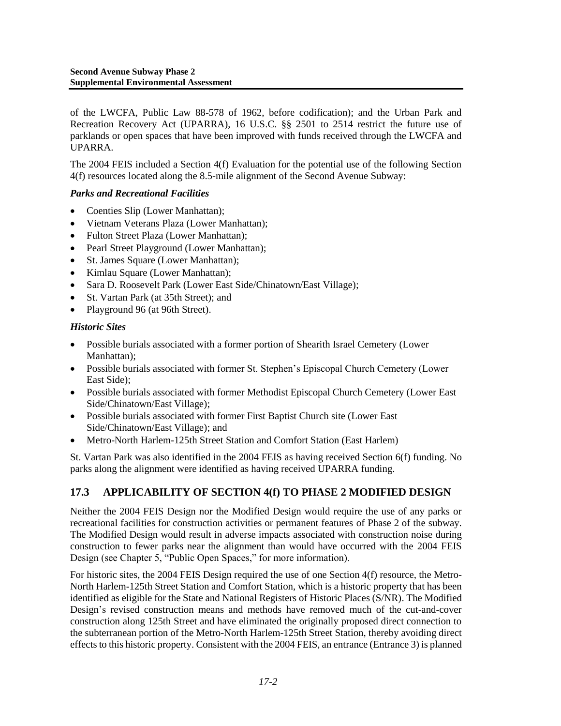of the LWCFA, Public Law 88-578 of 1962, before codification); and the Urban Park and Recreation Recovery Act (UPARRA), 16 U.S.C. §§ 2501 to 2514 restrict the future use of parklands or open spaces that have been improved with funds received through the LWCFA and UPARRA.

The 2004 FEIS included a Section 4(f) Evaluation for the potential use of the following Section 4(f) resources located along the 8.5-mile alignment of the Second Avenue Subway:

#### *Parks and Recreational Facilities*

- Coenties Slip (Lower Manhattan);
- Vietnam Veterans Plaza (Lower Manhattan);
- Fulton Street Plaza (Lower Manhattan);
- Pearl Street Playground (Lower Manhattan);
- St. James Square (Lower Manhattan);
- Kimlau Square (Lower Manhattan);
- Sara D. Roosevelt Park (Lower East Side/Chinatown/East Village);
- St. Vartan Park (at 35th Street); and
- Playground 96 (at 96th Street).

#### *Historic Sites*

- Possible burials associated with a former portion of Shearith Israel Cemetery (Lower Manhattan);
- Possible burials associated with former St. Stephen's Episcopal Church Cemetery (Lower East Side);
- Possible burials associated with former Methodist Episcopal Church Cemetery (Lower East Side/Chinatown/East Village);
- Possible burials associated with former First Baptist Church site (Lower East Side/Chinatown/East Village); and
- Metro-North Harlem-125th Street Station and Comfort Station (East Harlem)

St. Vartan Park was also identified in the 2004 FEIS as having received Section 6(f) funding. No parks along the alignment were identified as having received UPARRA funding.

# **17.3 APPLICABILITY OF SECTION 4(f) TO PHASE 2 MODIFIED DESIGN**

Neither the 2004 FEIS Design nor the Modified Design would require the use of any parks or recreational facilities for construction activities or permanent features of Phase 2 of the subway. The Modified Design would result in adverse impacts associated with construction noise during construction to fewer parks near the alignment than would have occurred with the 2004 FEIS Design (see Chapter 5, "Public Open Spaces," for more information).

For historic sites, the 2004 FEIS Design required the use of one Section 4(f) resource, the Metro-North Harlem-125th Street Station and Comfort Station, which is a historic property that has been identified as eligible for the State and National Registers of Historic Places (S/NR). The Modified Design's revised construction means and methods have removed much of the cut-and-cover construction along 125th Street and have eliminated the originally proposed direct connection to the subterranean portion of the Metro-North Harlem-125th Street Station, thereby avoiding direct effects to this historic property. Consistent with the 2004 FEIS, an entrance (Entrance 3) is planned